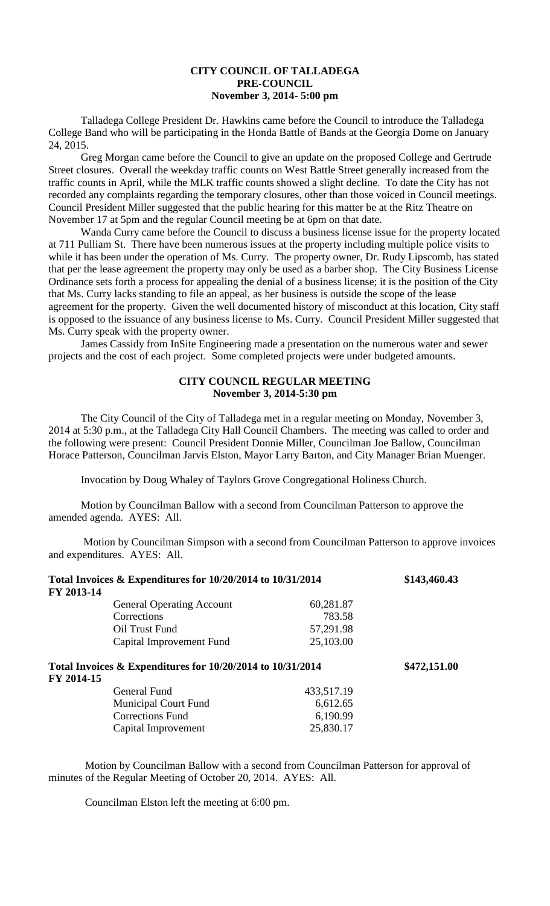## **CITY COUNCIL OF TALLADEGA PRE-COUNCIL November 3, 2014- 5:00 pm**

Talladega College President Dr. Hawkins came before the Council to introduce the Talladega College Band who will be participating in the Honda Battle of Bands at the Georgia Dome on January 24, 2015.

Greg Morgan came before the Council to give an update on the proposed College and Gertrude Street closures. Overall the weekday traffic counts on West Battle Street generally increased from the traffic counts in April, while the MLK traffic counts showed a slight decline. To date the City has not recorded any complaints regarding the temporary closures, other than those voiced in Council meetings. Council President Miller suggested that the public hearing for this matter be at the Ritz Theatre on November 17 at 5pm and the regular Council meeting be at 6pm on that date.

Wanda Curry came before the Council to discuss a business license issue for the property located at 711 Pulliam St. There have been numerous issues at the property including multiple police visits to while it has been under the operation of Ms. Curry. The property owner, Dr. Rudy Lipscomb, has stated that per the lease agreement the property may only be used as a barber shop. The City Business License Ordinance sets forth a process for appealing the denial of a business license; it is the position of the City that Ms. Curry lacks standing to file an appeal, as her business is outside the scope of the lease agreement for the property. Given the well documented history of misconduct at this location, City staff is opposed to the issuance of any business license to Ms. Curry. Council President Miller suggested that Ms. Curry speak with the property owner.

James Cassidy from InSite Engineering made a presentation on the numerous water and sewer projects and the cost of each project. Some completed projects were under budgeted amounts.

## **CITY COUNCIL REGULAR MEETING November 3, 2014-5:30 pm**

The City Council of the City of Talladega met in a regular meeting on Monday, November 3, 2014 at 5:30 p.m., at the Talladega City Hall Council Chambers. The meeting was called to order and the following were present: Council President Donnie Miller, Councilman Joe Ballow, Councilman Horace Patterson, Councilman Jarvis Elston, Mayor Larry Barton, and City Manager Brian Muenger.

Invocation by Doug Whaley of Taylors Grove Congregational Holiness Church.

Motion by Councilman Ballow with a second from Councilman Patterson to approve the amended agenda. AYES: All.

Motion by Councilman Simpson with a second from Councilman Patterson to approve invoices and expenditures. AYES: All.

|                                                                          | Total Invoices & Expenditures for 10/20/2014 to 10/31/2014 |            |              |
|--------------------------------------------------------------------------|------------------------------------------------------------|------------|--------------|
| FY 2013-14                                                               |                                                            |            |              |
|                                                                          | <b>General Operating Account</b>                           | 60,281.87  |              |
|                                                                          | Corrections                                                | 783.58     |              |
|                                                                          | Oil Trust Fund                                             | 57,291.98  |              |
|                                                                          | Capital Improvement Fund                                   | 25,103.00  |              |
| Total Invoices & Expenditures for 10/20/2014 to 10/31/2014<br>FY 2014-15 |                                                            |            | \$472,151.00 |
|                                                                          | General Fund                                               | 433,517.19 |              |
|                                                                          | <b>Municipal Court Fund</b>                                | 6,612.65   |              |
|                                                                          | <b>Corrections Fund</b>                                    | 6,190.99   |              |
|                                                                          | Capital Improvement                                        | 25,830.17  |              |

Motion by Councilman Ballow with a second from Councilman Patterson for approval of minutes of the Regular Meeting of October 20, 2014. AYES: All.

Councilman Elston left the meeting at 6:00 pm.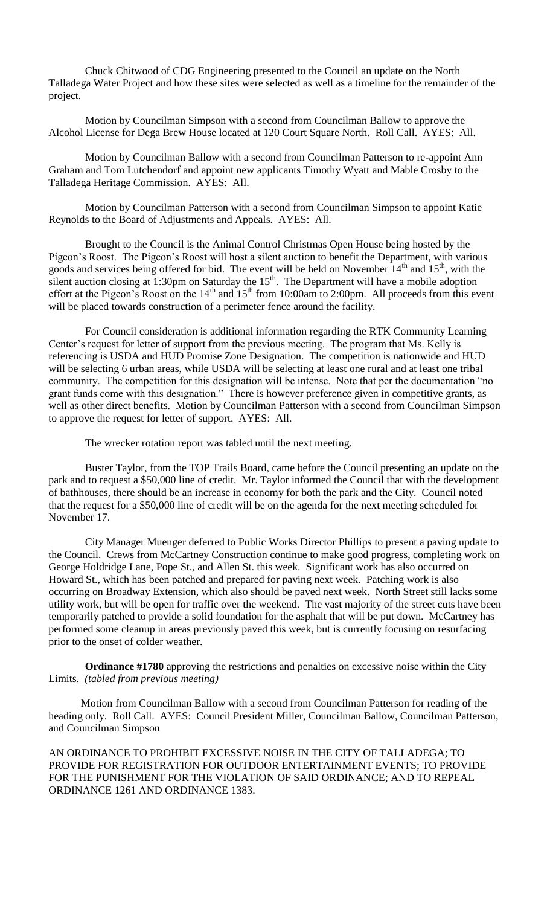Chuck Chitwood of CDG Engineering presented to the Council an update on the North Talladega Water Project and how these sites were selected as well as a timeline for the remainder of the project.

Motion by Councilman Simpson with a second from Councilman Ballow to approve the Alcohol License for Dega Brew House located at 120 Court Square North. Roll Call. AYES: All.

Motion by Councilman Ballow with a second from Councilman Patterson to re-appoint Ann Graham and Tom Lutchendorf and appoint new applicants Timothy Wyatt and Mable Crosby to the Talladega Heritage Commission. AYES: All.

Motion by Councilman Patterson with a second from Councilman Simpson to appoint Katie Reynolds to the Board of Adjustments and Appeals. AYES: All.

Brought to the Council is the Animal Control Christmas Open House being hosted by the Pigeon's Roost. The Pigeon's Roost will host a silent auction to benefit the Department, with various goods and services being offered for bid. The event will be held on November  $14<sup>th</sup>$  and  $15<sup>th</sup>$ , with the silent auction closing at 1:30pm on Saturday the  $15<sup>th</sup>$ . The Department will have a mobile adoption effort at the Pigeon's Roost on the  $14<sup>th</sup>$  and  $15<sup>th</sup>$  from 10:00am to 2:00pm. All proceeds from this event will be placed towards construction of a perimeter fence around the facility.

For Council consideration is additional information regarding the RTK Community Learning Center's request for letter of support from the previous meeting. The program that Ms. Kelly is referencing is USDA and HUD Promise Zone Designation. The competition is nationwide and HUD will be selecting 6 urban areas, while USDA will be selecting at least one rural and at least one tribal community. The competition for this designation will be intense. Note that per the documentation "no grant funds come with this designation." There is however preference given in competitive grants, as well as other direct benefits. Motion by Councilman Patterson with a second from Councilman Simpson to approve the request for letter of support. AYES: All.

The wrecker rotation report was tabled until the next meeting.

Buster Taylor, from the TOP Trails Board, came before the Council presenting an update on the park and to request a \$50,000 line of credit. Mr. Taylor informed the Council that with the development of bathhouses, there should be an increase in economy for both the park and the City. Council noted that the request for a \$50,000 line of credit will be on the agenda for the next meeting scheduled for November 17.

City Manager Muenger deferred to Public Works Director Phillips to present a paving update to the Council. Crews from McCartney Construction continue to make good progress, completing work on George Holdridge Lane, Pope St., and Allen St. this week. Significant work has also occurred on Howard St., which has been patched and prepared for paving next week. Patching work is also occurring on Broadway Extension, which also should be paved next week. North Street still lacks some utility work, but will be open for traffic over the weekend. The vast majority of the street cuts have been temporarily patched to provide a solid foundation for the asphalt that will be put down. McCartney has performed some cleanup in areas previously paved this week, but is currently focusing on resurfacing prior to the onset of colder weather.

**Ordinance #1780** approving the restrictions and penalties on excessive noise within the City Limits. *(tabled from previous meeting)*

Motion from Councilman Ballow with a second from Councilman Patterson for reading of the heading only. Roll Call. AYES: Council President Miller, Councilman Ballow, Councilman Patterson, and Councilman Simpson

AN ORDINANCE TO PROHIBIT EXCESSIVE NOISE IN THE CITY OF TALLADEGA; TO PROVIDE FOR REGISTRATION FOR OUTDOOR ENTERTAINMENT EVENTS; TO PROVIDE FOR THE PUNISHMENT FOR THE VIOLATION OF SAID ORDINANCE; AND TO REPEAL ORDINANCE 1261 AND ORDINANCE 1383.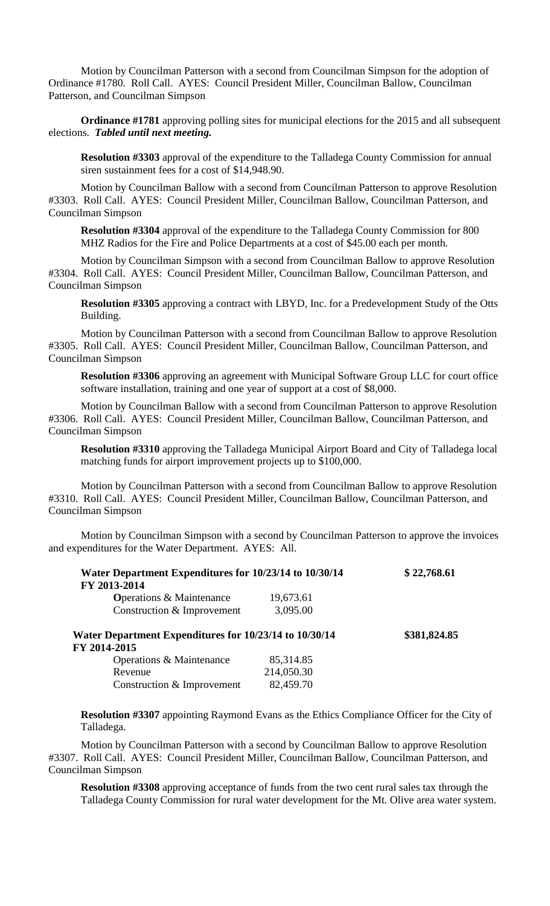Motion by Councilman Patterson with a second from Councilman Simpson for the adoption of Ordinance #1780. Roll Call. AYES: Council President Miller, Councilman Ballow, Councilman Patterson, and Councilman Simpson

**Ordinance #1781** approving polling sites for municipal elections for the 2015 and all subsequent elections. *Tabled until next meeting.*

**Resolution #3303** approval of the expenditure to the Talladega County Commission for annual siren sustainment fees for a cost of \$14,948.90.

Motion by Councilman Ballow with a second from Councilman Patterson to approve Resolution #3303. Roll Call. AYES: Council President Miller, Councilman Ballow, Councilman Patterson, and Councilman Simpson

**Resolution #3304** approval of the expenditure to the Talladega County Commission for 800 MHZ Radios for the Fire and Police Departments at a cost of \$45.00 each per month.

Motion by Councilman Simpson with a second from Councilman Ballow to approve Resolution #3304. Roll Call. AYES: Council President Miller, Councilman Ballow, Councilman Patterson, and Councilman Simpson

**Resolution #3305** approving a contract with LBYD, Inc. for a Predevelopment Study of the Otts Building.

Motion by Councilman Patterson with a second from Councilman Ballow to approve Resolution #3305. Roll Call. AYES: Council President Miller, Councilman Ballow, Councilman Patterson, and Councilman Simpson

**Resolution #3306** approving an agreement with Municipal Software Group LLC for court office software installation, training and one year of support at a cost of \$8,000.

Motion by Councilman Ballow with a second from Councilman Patterson to approve Resolution #3306. Roll Call. AYES: Council President Miller, Councilman Ballow, Councilman Patterson, and Councilman Simpson

**Resolution #3310** approving the Talladega Municipal Airport Board and City of Talladega local matching funds for airport improvement projects up to \$100,000.

Motion by Councilman Patterson with a second from Councilman Ballow to approve Resolution #3310. Roll Call. AYES: Council President Miller, Councilman Ballow, Councilman Patterson, and Councilman Simpson

Motion by Councilman Simpson with a second by Councilman Patterson to approve the invoices and expenditures for the Water Department. AYES: All.

| Water Department Expenditures for 10/23/14 to 10/30/14 | \$22,768.61  |  |
|--------------------------------------------------------|--------------|--|
| FY 2013-2014                                           |              |  |
| <b>Operations &amp; Maintenance</b>                    | 19,673.61    |  |
| Construction & Improvement                             | 3,095.00     |  |
| Water Department Expenditures for 10/23/14 to 10/30/14 | \$381,824.85 |  |
| FY 2014-2015                                           |              |  |
| Operations & Maintenance                               | 85,314.85    |  |
| Revenue                                                | 214,050.30   |  |
| Construction & Improvement                             | 82,459.70    |  |

**Resolution #3307** appointing Raymond Evans as the Ethics Compliance Officer for the City of Talladega.

Motion by Councilman Patterson with a second by Councilman Ballow to approve Resolution #3307. Roll Call. AYES: Council President Miller, Councilman Ballow, Councilman Patterson, and Councilman Simpson

**Resolution #3308** approving acceptance of funds from the two cent rural sales tax through the Talladega County Commission for rural water development for the Mt. Olive area water system.